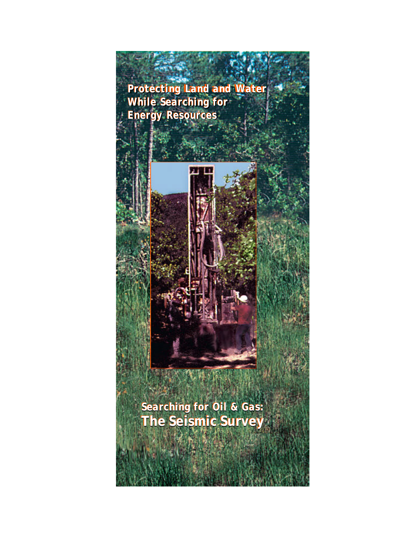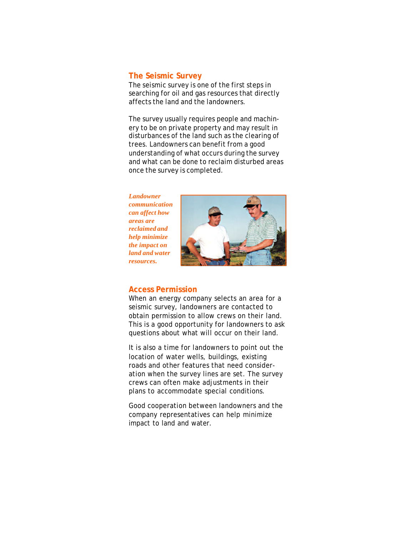## **The Seismic Survey**

The seismic survey is one of the first steps in searching for oil and gas resources that directly affects the land and the landowners.

The survey usually requires people and machinery to be on private property and may result in disturbances of the land such as the clearing of trees. Landowners can benefit from a good understanding of what occurs during the survey and what can be done to reclaim disturbed areas once the survey is completed.

*Landowner communication can affect how areas are reclaimed and help minimize the impact on land and water resources.*



#### **Access Permission**

When an energy company selects an area for a seismic survey, landowners are contacted to obtain permission to allow crews on their land. This is a good opportunity for landowners to ask questions about what will occur on their land.

It is also a time for landowners to point out the location of water wells, buildings, existing roads and other features that need consideration when the survey lines are set. The survey crews can often make adjustments in their plans to accommodate special conditions.

Good cooperation between landowners and the company representatives can help minimize impact to land and water.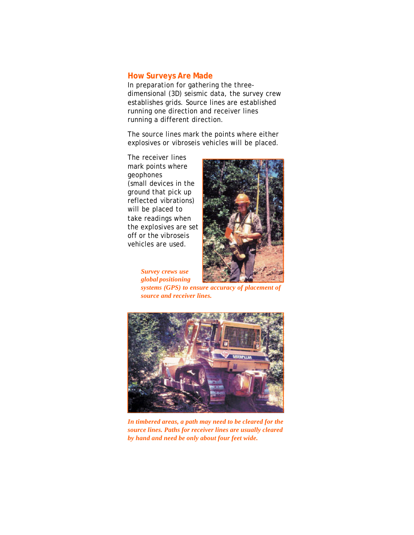### **How Surveys Are Made**

In preparation for gathering the threedimensional (3D) seismic data, the survey crew establishes grids. Source lines are established running one direction and receiver lines running a different direction.

The source lines mark the points where either explosives or vibroseis vehicles will be placed.

The receiver lines mark points where geophones (small devices in the ground that pick up reflected vibrations) will be placed to take readings when the explosives are set off or the vibroseis vehicles are used.



*Survey crews use global positioning systems (GPS) to ensure accuracy of placement of source and receiver lines.*



*In timbered areas, a path may need to be cleared for the source lines. Paths for receiver lines are usually cleared by hand and need be only about four feet wide.*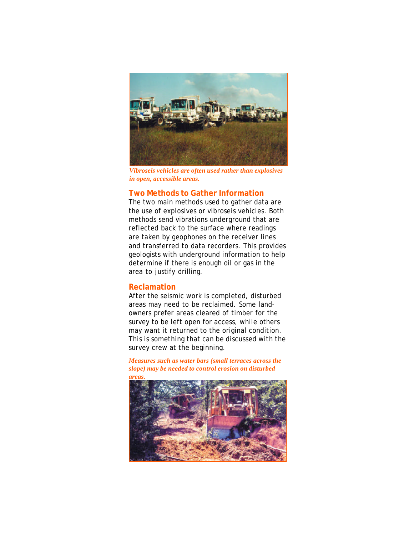

*Vibroseis vehicles are often used rather than explosives in open, accessible areas.*

### **Two Methods to Gather Information**

The two main methods used to gather data are the use of explosives or vibroseis vehicles. Both methods send vibrations underground that are reflected back to the surface where readings are taken by geophones on the receiver lines and transferred to data recorders. This provides geologists with underground information to help determine if there is enough oil or gas in the area to justify drilling.

### **Reclamation**

After the seismic work is completed, disturbed areas may need to be reclaimed. Some landowners prefer areas cleared of timber for the survey to be left open for access, while others may want it returned to the original condition. This is something that can be discussed with the survey crew at the beginning.

*Measures such as water bars (small terraces across the slope) may be needed to control erosion on disturbed*

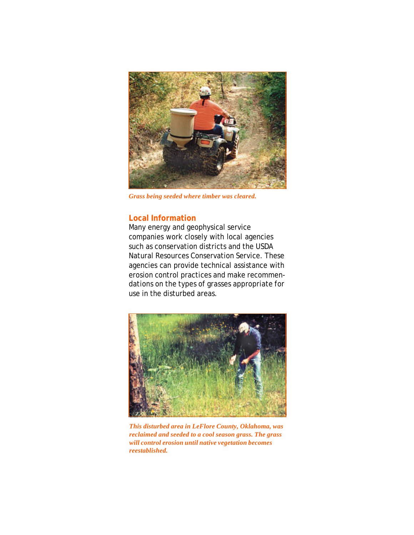

*Grass being seeded where timber was cleared.*

# **Local Information**

Many energy and geophysical service companies work closely with local agencies such as conservation districts and the USDA Natural Resources Conservation Service. These agencies can provide technical assistance with erosion control practices and make recommendations on the types of grasses appropriate for use in the disturbed areas.



*This disturbed area in LeFlore County, Oklahoma, was reclaimed and seeded to a cool season grass. The grass will control erosion until native vegetation becomes reestablished.*